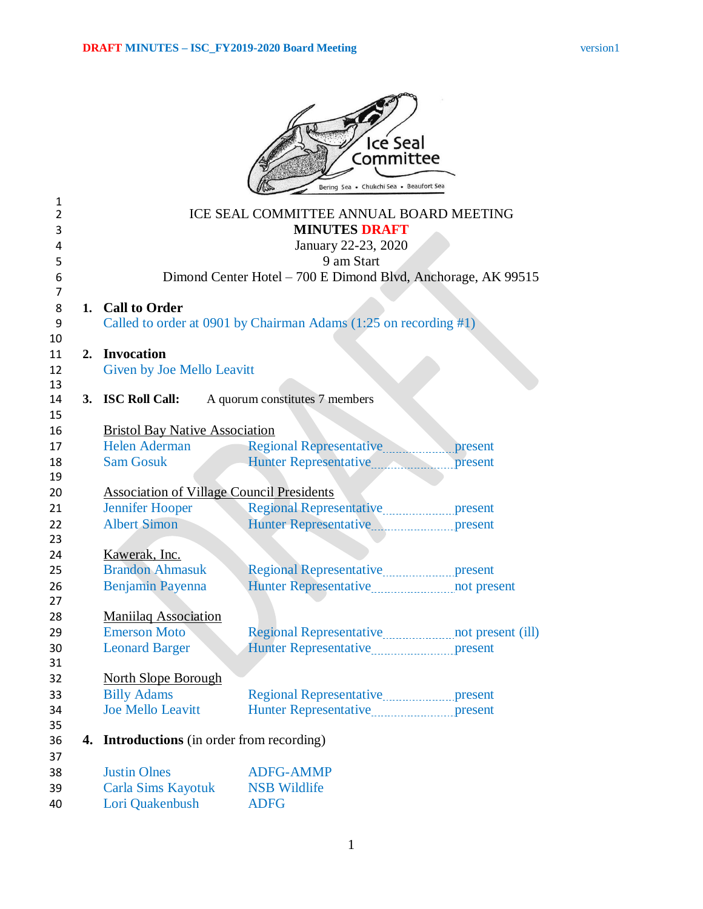|                |    |                                                   | Ice Seal                                                                      |         |
|----------------|----|---------------------------------------------------|-------------------------------------------------------------------------------|---------|
|                |    |                                                   | Committee<br>Bering Sea . Chukchi Sea . Beaufort Sea                          |         |
| 1              |    |                                                   |                                                                               |         |
| $\overline{2}$ |    |                                                   | ICE SEAL COMMITTEE ANNUAL BOARD MEETING                                       |         |
| 3<br>4         |    |                                                   | <b>MINUTES DRAFT</b>                                                          |         |
| 5              |    |                                                   | January 22-23, 2020<br>9 am Start                                             |         |
| 6              |    |                                                   | Dimond Center Hotel – 700 E Dimond Blvd, Anchorage, AK 99515                  |         |
| 7              |    |                                                   |                                                                               |         |
| 8              |    | 1. Call to Order                                  |                                                                               |         |
| 9              |    |                                                   | Called to order at 0901 by Chairman Adams $(1:25 \text{ on recording } \# 1)$ |         |
| 10             |    |                                                   |                                                                               |         |
| 11             | 2. | <b>Invocation</b>                                 |                                                                               |         |
| 12             |    | Given by Joe Mello Leavitt                        |                                                                               |         |
| 13             |    |                                                   |                                                                               |         |
| 14             |    | 3. ISC Roll Call:                                 | A quorum constitutes 7 members                                                |         |
| 15<br>16       |    | <b>Bristol Bay Native Association</b>             |                                                                               |         |
| 17             |    | Helen Aderman                                     |                                                                               |         |
| 18             |    | <b>Sam Gosuk</b>                                  | Hunter Representative                                                         | present |
| 19             |    |                                                   |                                                                               |         |
| 20             |    | <b>Association of Village Council Presidents</b>  |                                                                               |         |
| 21             |    | <b>Jennifer Hooper</b>                            |                                                                               |         |
| 22             |    | <b>Albert Simon</b>                               |                                                                               |         |
| 23             |    |                                                   |                                                                               |         |
| 24             |    | Kawerak, Inc.                                     |                                                                               |         |
| 25             |    | <b>Brandon Ahmasuk</b>                            |                                                                               |         |
| 26             |    | Benjamin Payenna                                  |                                                                               |         |
| 27             |    |                                                   |                                                                               |         |
| 28             |    | <b>Maniilaq Association</b>                       |                                                                               |         |
| 29             |    | <b>Emerson Moto</b>                               |                                                                               |         |
| 30<br>31       |    | <b>Leonard Barger</b>                             |                                                                               |         |
| 32             |    | <b>North Slope Borough</b>                        |                                                                               |         |
| 33             |    | <b>Billy Adams</b>                                |                                                                               |         |
| 34             |    | <b>Joe Mello Leavitt</b>                          |                                                                               |         |
| 35             |    |                                                   |                                                                               |         |
| 36             |    | <b>4.</b> Introductions (in order from recording) |                                                                               |         |
| 37             |    |                                                   |                                                                               |         |
| 38             |    | <b>Justin Olnes</b>                               | <b>ADFG-AMMP</b>                                                              |         |
| 39             |    | <b>Carla Sims Kayotuk</b>                         | <b>NSB Wildlife</b>                                                           |         |
| 40             |    | Lori Quakenbush                                   | <b>ADFG</b>                                                                   |         |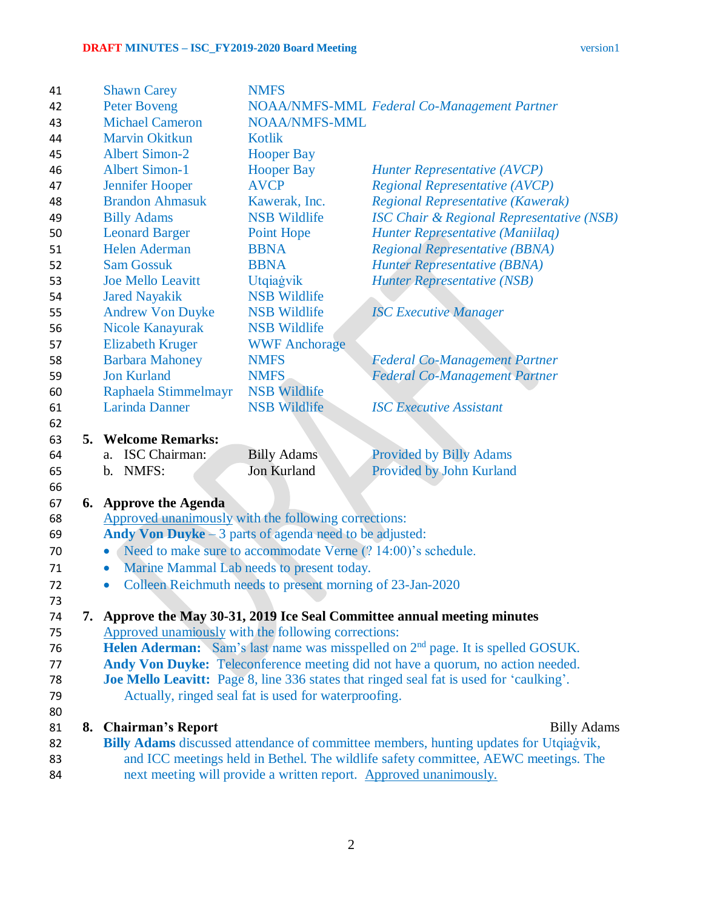| 41       | <b>Shawn Carey</b>                                                                                                                    | <b>NMFS</b>                                          |                                                                                             |  |
|----------|---------------------------------------------------------------------------------------------------------------------------------------|------------------------------------------------------|---------------------------------------------------------------------------------------------|--|
| 42       | <b>Peter Boveng</b>                                                                                                                   |                                                      | NOAA/NMFS-MML Federal Co-Management Partner                                                 |  |
| 43       | <b>Michael Cameron</b>                                                                                                                | <b>NOAA/NMFS-MML</b>                                 |                                                                                             |  |
| 44       | <b>Marvin Okitkun</b>                                                                                                                 | <b>Kotlik</b>                                        |                                                                                             |  |
| 45       | <b>Albert Simon-2</b>                                                                                                                 | <b>Hooper Bay</b>                                    |                                                                                             |  |
| 46       | <b>Albert Simon-1</b>                                                                                                                 | <b>Hooper Bay</b>                                    | <b>Hunter Representative (AVCP)</b>                                                         |  |
| 47       | <b>Jennifer Hooper</b>                                                                                                                | <b>AVCP</b>                                          | <b>Regional Representative (AVCP)</b>                                                       |  |
| 48       | <b>Brandon Ahmasuk</b>                                                                                                                | Kawerak, Inc.                                        | Regional Representative (Kawerak)                                                           |  |
| 49       | <b>Billy Adams</b>                                                                                                                    | <b>NSB Wildlife</b>                                  | <b>ISC Chair &amp; Regional Representative (NSB)</b>                                        |  |
| 50       | <b>Leonard Barger</b>                                                                                                                 | Point Hope                                           | Hunter Representative (Maniilaq)                                                            |  |
| 51       | <b>Helen Aderman</b>                                                                                                                  | <b>BBNA</b>                                          | <b>Regional Representative (BBNA)</b>                                                       |  |
| 52       | <b>Sam Gossuk</b>                                                                                                                     | <b>BBNA</b>                                          | <b>Hunter Representative (BBNA)</b>                                                         |  |
| 53       | <b>Joe Mello Leavitt</b>                                                                                                              | Utqiagvik                                            | <b>Hunter Representative (NSB)</b>                                                          |  |
| 54       | <b>Jared Nayakik</b>                                                                                                                  | <b>NSB Wildlife</b>                                  |                                                                                             |  |
| 55       | <b>Andrew Von Duyke</b>                                                                                                               | <b>NSB Wildlife</b>                                  | <b>ISC Executive Manager</b>                                                                |  |
| 56       | Nicole Kanayurak                                                                                                                      | <b>NSB Wildlife</b>                                  |                                                                                             |  |
| 57       | <b>Elizabeth Kruger</b>                                                                                                               | <b>WWF Anchorage</b>                                 |                                                                                             |  |
| 58       | <b>Barbara Mahoney</b>                                                                                                                | <b>NMFS</b>                                          | <b>Federal Co-Management Partner</b>                                                        |  |
| 59       | <b>Jon Kurland</b>                                                                                                                    | <b>NMFS</b>                                          | <b>Federal Co-Management Partner</b>                                                        |  |
| 60       | Raphaela Stimmelmayr                                                                                                                  | <b>NSB Wildlife</b>                                  |                                                                                             |  |
| 61       | <b>Larinda Danner</b>                                                                                                                 | <b>NSB Wildlife</b>                                  | <b>ISC Executive Assistant</b>                                                              |  |
| 62       |                                                                                                                                       |                                                      |                                                                                             |  |
| 63<br>5. | <b>Welcome Remarks:</b>                                                                                                               |                                                      |                                                                                             |  |
| 64       | ISC Chairman:<br>a.                                                                                                                   | <b>Billy Adams</b>                                   | <b>Provided by Billy Adams</b>                                                              |  |
| 65       | NMFS:<br>b.                                                                                                                           | Jon Kurland                                          | Provided by John Kurland                                                                    |  |
| 66       |                                                                                                                                       |                                                      |                                                                                             |  |
| 67       | <b>6.</b> Approve the Agenda                                                                                                          |                                                      |                                                                                             |  |
| 68       | Approved unanimously with the following corrections:                                                                                  |                                                      |                                                                                             |  |
| 69       |                                                                                                                                       |                                                      |                                                                                             |  |
| 70       | Andy Von Duyke $-3$ parts of agenda need to be adjusted:<br>Need to make sure to accommodate Verne (? 14:00)'s schedule.<br>$\bullet$ |                                                      |                                                                                             |  |
| 71       | $\bullet$                                                                                                                             |                                                      |                                                                                             |  |
| 72       | Marine Mammal Lab needs to present today.<br>Colleen Reichmuth needs to present morning of 23-Jan-2020<br>$\bullet$                   |                                                      |                                                                                             |  |
| 73       |                                                                                                                                       |                                                      |                                                                                             |  |
| 74       |                                                                                                                                       |                                                      | 7. Approve the May 30-31, 2019 Ice Seal Committee annual meeting minutes                    |  |
| 75       | Approved unamiously with the following corrections:                                                                                   |                                                      |                                                                                             |  |
| 76       |                                                                                                                                       |                                                      | Helen Aderman: Sam's last name was misspelled on 2 <sup>nd</sup> page. It is spelled GOSUK. |  |
| 77       |                                                                                                                                       |                                                      | Andy Von Duyke: Teleconference meeting did not have a quorum, no action needed.             |  |
| 78       |                                                                                                                                       |                                                      | Joe Mello Leavitt: Page 8, line 336 states that ringed seal fat is used for 'caulking'.     |  |
| 79       |                                                                                                                                       | Actually, ringed seal fat is used for waterproofing. |                                                                                             |  |
| 80       |                                                                                                                                       |                                                      |                                                                                             |  |
| 81       | 8. Chairman's Report                                                                                                                  |                                                      | <b>Billy Adams</b>                                                                          |  |
| 82       |                                                                                                                                       |                                                      | Billy Adams discussed attendance of committee members, hunting updates for Utqiagvik,       |  |
| 83       | and ICC meetings held in Bethel. The wildlife safety committee, AEWC meetings. The                                                    |                                                      |                                                                                             |  |
| 84       | next meeting will provide a written report. Approved unanimously.                                                                     |                                                      |                                                                                             |  |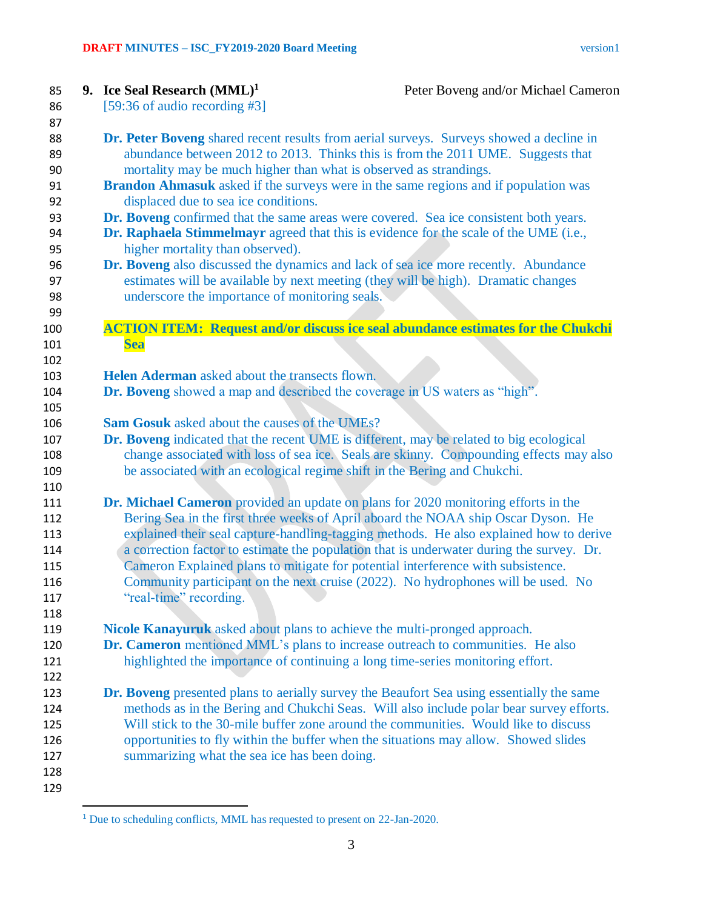| 9. Ice Seal Research $(MML)^1$                                             | Peter Boveng and/or Michael Cameron                                                              |
|----------------------------------------------------------------------------|--------------------------------------------------------------------------------------------------|
| [59:36 of audio recording #3]                                              |                                                                                                  |
|                                                                            |                                                                                                  |
|                                                                            | Dr. Peter Boveng shared recent results from aerial surveys. Surveys showed a decline in          |
|                                                                            | abundance between 2012 to 2013. Thinks this is from the 2011 UME. Suggests that                  |
| mortality may be much higher than what is observed as strandings.          |                                                                                                  |
|                                                                            | <b>Brandon Ahmasuk</b> asked if the surveys were in the same regions and if population was       |
| displaced due to sea ice conditions.                                       |                                                                                                  |
|                                                                            | Dr. Boveng confirmed that the same areas were covered. Sea ice consistent both years.            |
|                                                                            | Dr. Raphaela Stimmelmayr agreed that this is evidence for the scale of the UME (i.e.,            |
| higher mortality than observed).                                           |                                                                                                  |
|                                                                            | Dr. Boveng also discussed the dynamics and lack of sea ice more recently. Abundance              |
|                                                                            | estimates will be available by next meeting (they will be high). Dramatic changes                |
| underscore the importance of monitoring seals.                             |                                                                                                  |
|                                                                            |                                                                                                  |
|                                                                            | <b>ACTION ITEM: Request and/or discuss ice seal abundance estimates for the Chukchi</b>          |
|                                                                            |                                                                                                  |
| <b>Sea</b>                                                                 |                                                                                                  |
| Helen Aderman asked about the transects flown.                             |                                                                                                  |
|                                                                            |                                                                                                  |
| Dr. Boveng showed a map and described the coverage in US waters as "high". |                                                                                                  |
|                                                                            |                                                                                                  |
| <b>Sam Gosuk</b> asked about the causes of the UMEs?                       |                                                                                                  |
|                                                                            | Dr. Boveng indicated that the recent UME is different, may be related to big ecological          |
|                                                                            | change associated with loss of sea ice. Seals are skinny. Compounding effects may also           |
| be associated with an ecological regime shift in the Bering and Chukchi.   |                                                                                                  |
|                                                                            |                                                                                                  |
|                                                                            | <b>Dr. Michael Cameron</b> provided an update on plans for 2020 monitoring efforts in the        |
|                                                                            | Bering Sea in the first three weeks of April aboard the NOAA ship Oscar Dyson. He                |
|                                                                            | explained their seal capture-handling-tagging methods. He also explained how to derive           |
|                                                                            | a correction factor to estimate the population that is underwater during the survey. Dr.         |
|                                                                            | Cameron Explained plans to mitigate for potential interference with subsistence.                 |
|                                                                            | Community participant on the next cruise (2022). No hydrophones will be used. No                 |
| "real-time" recording.                                                     |                                                                                                  |
|                                                                            |                                                                                                  |
| Nicole Kanayuruk asked about plans to achieve the multi-pronged approach.  |                                                                                                  |
|                                                                            | Dr. Cameron mentioned MML's plans to increase outreach to communities. He also                   |
|                                                                            | highlighted the importance of continuing a long time-series monitoring effort.                   |
|                                                                            |                                                                                                  |
|                                                                            | <b>Dr. Boveng</b> presented plans to aerially survey the Beaufort Sea using essentially the same |
|                                                                            | methods as in the Bering and Chukchi Seas. Will also include polar bear survey efforts.          |
|                                                                            | Will stick to the 30-mile buffer zone around the communities. Would like to discuss              |
|                                                                            |                                                                                                  |
|                                                                            | opportunities to fly within the buffer when the situations may allow. Showed slides              |
| summarizing what the sea ice has been doing.                               |                                                                                                  |
|                                                                            |                                                                                                  |
|                                                                            |                                                                                                  |
|                                                                            |                                                                                                  |

<sup>&</sup>lt;sup>1</sup> Due to scheduling conflicts, MML has requested to present on 22-Jan-2020.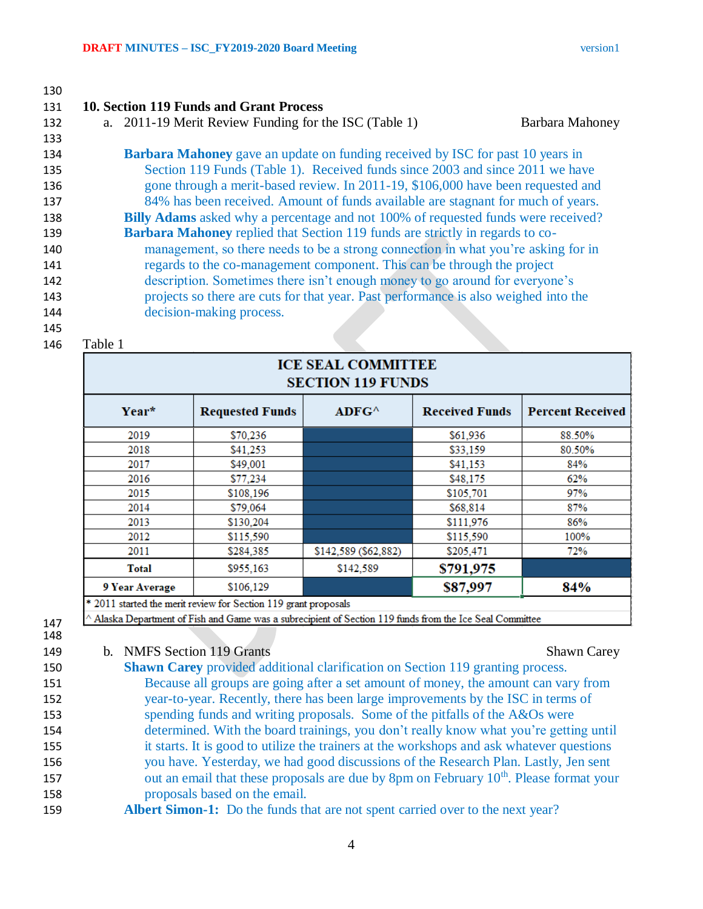## **10. Section 119 Funds and Grant Process** a. 2011-19 Merit Review Funding for the ISC (Table 1) Barbara Mahoney **Barbara Mahoney** gave an update on funding received by ISC for past 10 years in Section 119 Funds (Table 1). Received funds since 2003 and since 2011 we have gone through a merit-based review. In 2011-19, \$106,000 have been requested and 84% has been received. Amount of funds available are stagnant for much of years. **Billy Adams** asked why a percentage and not 100% of requested funds were received? **Barbara Mahoney** replied that Section 119 funds are strictly in regards to co- management, so there needs to be a strong connection in what you're asking for in regards to the co-management component. This can be through the project description. Sometimes there isn't enough money to go around for everyone's projects so there are cuts for that year. Past performance is also weighed into the decision-making process.

Table 1

## **ICE SEAL COMMITTEE SECTION 119 FUNDS**

| Year*          | <b>Requested Funds</b>                                           | ADFG <sup>^</sup>    | <b>Received Funds</b> | <b>Percent Received</b> |
|----------------|------------------------------------------------------------------|----------------------|-----------------------|-------------------------|
| 2019           | \$70,236                                                         |                      | \$61,936              | 88.50%                  |
| 2018           | \$41.253                                                         |                      | \$33,159              | 80.50%                  |
| 2017           | \$49,001                                                         |                      | \$41,153              | 84%                     |
| 2016           | \$77,234                                                         |                      | \$48,175              | 62%                     |
| 2015           | \$108,196                                                        |                      | \$105,701             | 97%                     |
| 2014           | \$79,064                                                         |                      | \$68,814              | 87%                     |
| 2013           | \$130.204                                                        |                      | \$111,976             | 86%                     |
| 2012           | \$115,590                                                        |                      | \$115,590             | 100%                    |
| 2011           | \$284,385                                                        | \$142,589 (\$62,882) | \$205,471             | 72%                     |
| Total          | \$955,163                                                        | \$142,589            | \$791,975             |                         |
| 9 Year Average | \$106,129                                                        |                      | \$87,997              | 84%                     |
|                | $*2011$ started the merit review for Section 119 grant proposals |                      |                       |                         |

2011 started the merit review for Section 119 grant proposals

Alaska Department of Fish and Game was a subrecipient of Section 119 funds from the Ice Seal Committee

- 
- 149 b. NMFS Section 119 Grants Shawn Carey Shawn Carey

 **Shawn Carey** provided additional clarification on Section 119 granting process. Because all groups are going after a set amount of money, the amount can vary from year-to-year. Recently, there has been large improvements by the ISC in terms of spending funds and writing proposals. Some of the pitfalls of the A&Os were determined. With the board trainings, you don't really know what you're getting until it starts. It is good to utilize the trainers at the workshops and ask whatever questions you have. Yesterday, we had good discussions of the Research Plan. Lastly, Jen sent 157 out an email that these proposals are due by 8pm on February 10<sup>th</sup>. Please format your proposals based on the email. **Albert Simon-1:** Do the funds that are not spent carried over to the next year?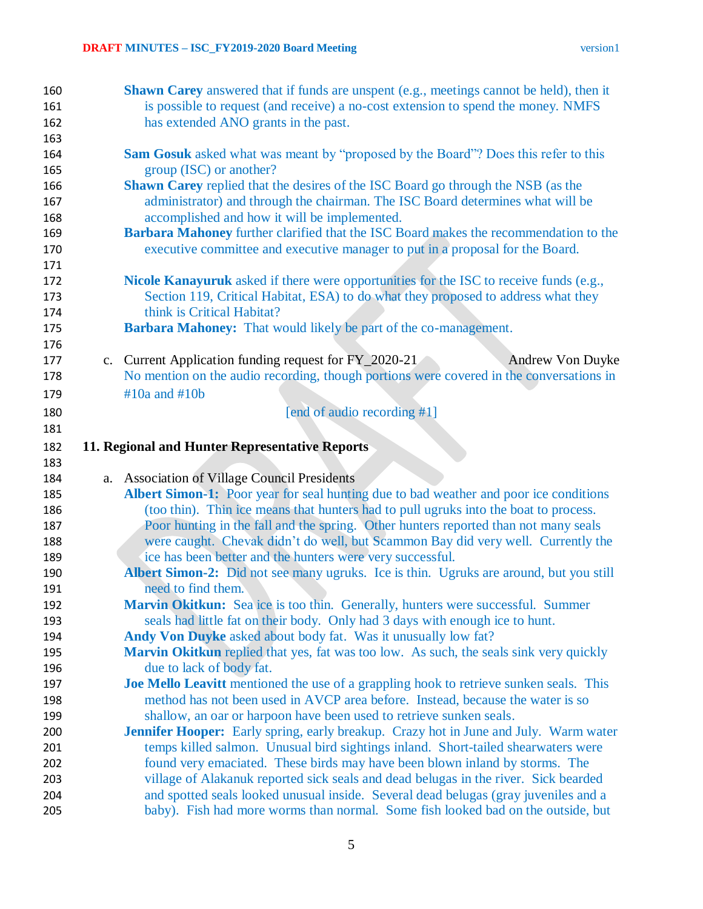| 160        | <b>Shawn Carey</b> answered that if funds are unspent (e.g., meetings cannot be held), then it                                                                          |
|------------|-------------------------------------------------------------------------------------------------------------------------------------------------------------------------|
| 161        | is possible to request (and receive) a no-cost extension to spend the money. NMFS                                                                                       |
| 162        | has extended ANO grants in the past.                                                                                                                                    |
| 163        |                                                                                                                                                                         |
| 164        | <b>Sam Gosuk</b> asked what was meant by "proposed by the Board"? Does this refer to this                                                                               |
| 165        | group (ISC) or another?                                                                                                                                                 |
| 166        | <b>Shawn Carey</b> replied that the desires of the ISC Board go through the NSB (as the                                                                                 |
| 167        | administrator) and through the chairman. The ISC Board determines what will be                                                                                          |
| 168        | accomplished and how it will be implemented.                                                                                                                            |
| 169        | Barbara Mahoney further clarified that the ISC Board makes the recommendation to the                                                                                    |
| 170        | executive committee and executive manager to put in a proposal for the Board.                                                                                           |
| 171        |                                                                                                                                                                         |
| 172        | Nicole Kanayuruk asked if there were opportunities for the ISC to receive funds (e.g.,                                                                                  |
| 173        | Section 119, Critical Habitat, ESA) to do what they proposed to address what they                                                                                       |
| 174        | think is Critical Habitat?                                                                                                                                              |
| 175        | <b>Barbara Mahoney:</b> That would likely be part of the co-management.                                                                                                 |
| 176        |                                                                                                                                                                         |
| 177        | c. Current Application funding request for FY_2020-21<br>Andrew Von Duyke                                                                                               |
| 178        | No mention on the audio recording, though portions were covered in the conversations in                                                                                 |
| 179        | $#10a$ and $#10b$                                                                                                                                                       |
| 180        | [end of audio recording #1]                                                                                                                                             |
| 181        |                                                                                                                                                                         |
| 182        | 11. Regional and Hunter Representative Reports                                                                                                                          |
| 183        |                                                                                                                                                                         |
| 184        | a. Association of Village Council Presidents                                                                                                                            |
| 185        | Albert Simon-1: Poor year for seal hunting due to bad weather and poor ice conditions                                                                                   |
| 186        | (too thin). Thin ice means that hunters had to pull ugruks into the boat to process.                                                                                    |
| 187        | Poor hunting in the fall and the spring. Other hunters reported than not many seals                                                                                     |
| 188        | were caught. Chevak didn't do well, but Scammon Bay did very well. Currently the                                                                                        |
| 189        | ice has been better and the hunters were very successful.                                                                                                               |
| 190        | Albert Simon-2: Did not see many ugruks. Ice is thin. Ugruks are around, but you still                                                                                  |
| 191        | need to find them.                                                                                                                                                      |
| 192        | Marvin Okitkun: Sea ice is too thin. Generally, hunters were successful. Summer                                                                                         |
| 193        | seals had little fat on their body. Only had 3 days with enough ice to hunt.                                                                                            |
| 194        | Andy Von Duyke asked about body fat. Was it unusually low fat?                                                                                                          |
| 195        | Marvin Okitkun replied that yes, fat was too low. As such, the seals sink very quickly                                                                                  |
| 196        | due to lack of body fat.                                                                                                                                                |
| 197        | <b>Joe Mello Leavitt</b> mentioned the use of a grappling hook to retrieve sunken seals. This                                                                           |
| 198        | method has not been used in AVCP area before. Instead, because the water is so                                                                                          |
| 199        | shallow, an oar or harpoon have been used to retrieve sunken seals.                                                                                                     |
| 200        | <b>Jennifer Hooper:</b> Early spring, early breakup. Crazy hot in June and July. Warm water                                                                             |
|            | temps killed salmon. Unusual bird sightings inland. Short-tailed shearwaters were                                                                                       |
| 201        |                                                                                                                                                                         |
| 202        | found very emaciated. These birds may have been blown inland by storms. The                                                                                             |
| 203        | village of Alakanuk reported sick seals and dead belugas in the river. Sick bearded                                                                                     |
| 204<br>205 | and spotted seals looked unusual inside. Several dead belugas (gray juveniles and a<br>baby). Fish had more worms than normal. Some fish looked bad on the outside, but |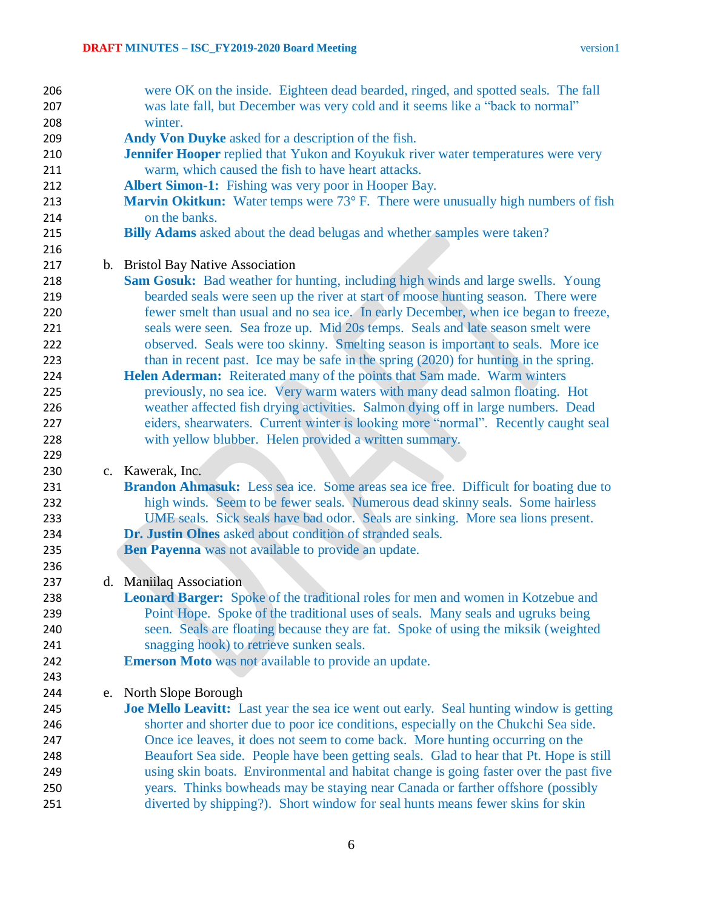| 206 |    | were OK on the inside. Eighteen dead bearded, ringed, and spotted seals. The fall              |
|-----|----|------------------------------------------------------------------------------------------------|
| 207 |    | was late fall, but December was very cold and it seems like a "back to normal"                 |
| 208 |    | winter.                                                                                        |
| 209 |    | Andy Von Duyke asked for a description of the fish.                                            |
| 210 |    | Jennifer Hooper replied that Yukon and Koyukuk river water temperatures were very              |
| 211 |    | warm, which caused the fish to have heart attacks.                                             |
| 212 |    | Albert Simon-1: Fishing was very poor in Hooper Bay.                                           |
| 213 |    | <b>Marvin Okitkun:</b> Water temps were 73° F. There were unusually high numbers of fish       |
| 214 |    | on the banks.                                                                                  |
| 215 |    | <b>Billy Adams</b> asked about the dead belugas and whether samples were taken?                |
| 216 |    |                                                                                                |
| 217 |    | b. Bristol Bay Native Association                                                              |
| 218 |    | Sam Gosuk: Bad weather for hunting, including high winds and large swells. Young               |
| 219 |    | bearded seals were seen up the river at start of moose hunting season. There were              |
| 220 |    | fewer smelt than usual and no sea ice. In early December, when ice began to freeze,            |
| 221 |    | seals were seen. Sea froze up. Mid 20s temps. Seals and late season smelt were                 |
| 222 |    | observed. Seals were too skinny. Smelting season is important to seals. More ice               |
| 223 |    | than in recent past. Ice may be safe in the spring (2020) for hunting in the spring.           |
| 224 |    | Helen Aderman: Reiterated many of the points that Sam made. Warm winters                       |
| 225 |    | previously, no sea ice. Very warm waters with many dead salmon floating. Hot                   |
| 226 |    | weather affected fish drying activities. Salmon dying off in large numbers. Dead               |
| 227 |    | eiders, shearwaters. Current winter is looking more "normal". Recently caught seal             |
| 228 |    | with yellow blubber. Helen provided a written summary.                                         |
| 229 |    |                                                                                                |
| 230 |    | c. Kawerak, Inc.                                                                               |
| 231 |    | Brandon Ahmasuk: Less sea ice. Some areas sea ice free. Difficult for boating due to           |
| 232 |    | high winds. Seem to be fewer seals. Numerous dead skinny seals. Some hairless                  |
| 233 |    | UME seals. Sick seals have bad odor. Seals are sinking. More sea lions present.                |
| 234 |    | Dr. Justin Olnes asked about condition of stranded seals.                                      |
| 235 |    | Ben Payenna was not available to provide an update.                                            |
| 236 |    |                                                                                                |
| 237 |    | d. Maniilaq Association                                                                        |
| 238 |    | <b>Leonard Barger:</b> Spoke of the traditional roles for men and women in Kotzebue and        |
| 239 |    | Point Hope. Spoke of the traditional uses of seals. Many seals and ugruks being                |
| 240 |    | seen. Seals are floating because they are fat. Spoke of using the miksik (weighted             |
| 241 |    | snagging hook) to retrieve sunken seals.                                                       |
| 242 |    | <b>Emerson Moto</b> was not available to provide an update.                                    |
| 243 |    |                                                                                                |
| 244 | e. | North Slope Borough                                                                            |
| 245 |    | <b>Joe Mello Leavitt:</b> Last year the sea ice went out early. Seal hunting window is getting |
| 246 |    | shorter and shorter due to poor ice conditions, especially on the Chukchi Sea side.            |
| 247 |    | Once ice leaves, it does not seem to come back. More hunting occurring on the                  |
| 248 |    | Beaufort Sea side. People have been getting seals. Glad to hear that Pt. Hope is still         |
| 249 |    | using skin boats. Environmental and habitat change is going faster over the past five          |
| 250 |    | years. Thinks bowheads may be staying near Canada or farther offshore (possibly                |
| 251 |    | diverted by shipping?). Short window for seal hunts means fewer skins for skin                 |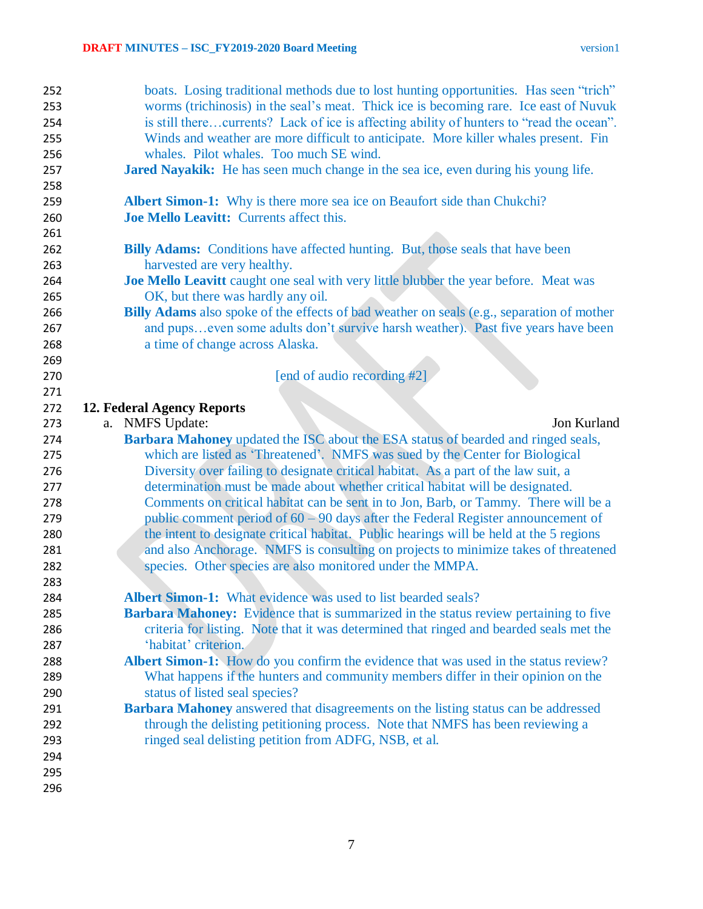| 252        | boats. Losing traditional methods due to lost hunting opportunities. Has seen "trich"       |
|------------|---------------------------------------------------------------------------------------------|
| 253        | worms (trichinosis) in the seal's meat. Thick ice is becoming rare. Ice east of Nuvuk       |
| 254        | is still therecurrents? Lack of ice is affecting ability of hunters to "read the ocean".    |
| 255        | Winds and weather are more difficult to anticipate. More killer whales present. Fin         |
| 256        | whales. Pilot whales. Too much SE wind.                                                     |
| 257        | Jared Nayakik: He has seen much change in the sea ice, even during his young life.          |
| 258        |                                                                                             |
| 259        | <b>Albert Simon-1:</b> Why is there more sea ice on Beaufort side than Chukchi?             |
| 260        | Joe Mello Leavitt: Currents affect this.                                                    |
| 261        |                                                                                             |
| 262        | <b>Billy Adams:</b> Conditions have affected hunting. But, those seals that have been       |
| 263        | harvested are very healthy.                                                                 |
| 264        | Joe Mello Leavitt caught one seal with very little blubber the year before. Meat was        |
| 265        | OK, but there was hardly any oil.                                                           |
| 266        | Billy Adams also spoke of the effects of bad weather on seals (e.g., separation of mother   |
| 267        | and pupseven some adults don't survive harsh weather). Past five years have been            |
| 268        | a time of change across Alaska.                                                             |
| 269        |                                                                                             |
| 270        | [end of audio recording #2]                                                                 |
| 271        |                                                                                             |
| 272        | 12. Federal Agency Reports                                                                  |
| 273        | a. NMFS Update:<br>Jon Kurland                                                              |
| 274        | <b>Barbara Mahoney</b> updated the ISC about the ESA status of bearded and ringed seals,    |
|            |                                                                                             |
| 275        | which are listed as 'Threatened'. NMFS was sued by the Center for Biological                |
| 276        | Diversity over failing to designate critical habitat. As a part of the law suit, a          |
| 277        | determination must be made about whether critical habitat will be designated.               |
| 278        | Comments on critical habitat can be sent in to Jon, Barb, or Tammy. There will be a         |
| 279        | public comment period of $60 - 90$ days after the Federal Register announcement of          |
| 280        | the intent to designate critical habitat. Public hearings will be held at the 5 regions     |
| 281        | and also Anchorage. NMFS is consulting on projects to minimize takes of threatened          |
| 282        | species. Other species are also monitored under the MMPA.                                   |
| 283        |                                                                                             |
| 284        | Albert Simon-1: What evidence was used to list bearded seals?                               |
| 285        | <b>Barbara Mahoney:</b> Evidence that is summarized in the status review pertaining to five |
| 286        | criteria for listing. Note that it was determined that ringed and bearded seals met the     |
| 287        | 'habitat' criterion.                                                                        |
| 288        | Albert Simon-1: How do you confirm the evidence that was used in the status review?         |
| 289        | What happens if the hunters and community members differ in their opinion on the            |
| 290        | status of listed seal species?                                                              |
| 291        | <b>Barbara Mahoney</b> answered that disagreements on the listing status can be addressed   |
| 292        | through the delisting petitioning process. Note that NMFS has been reviewing a              |
| 293        | ringed seal delisting petition from ADFG, NSB, et al.                                       |
| 294        |                                                                                             |
| 295<br>296 |                                                                                             |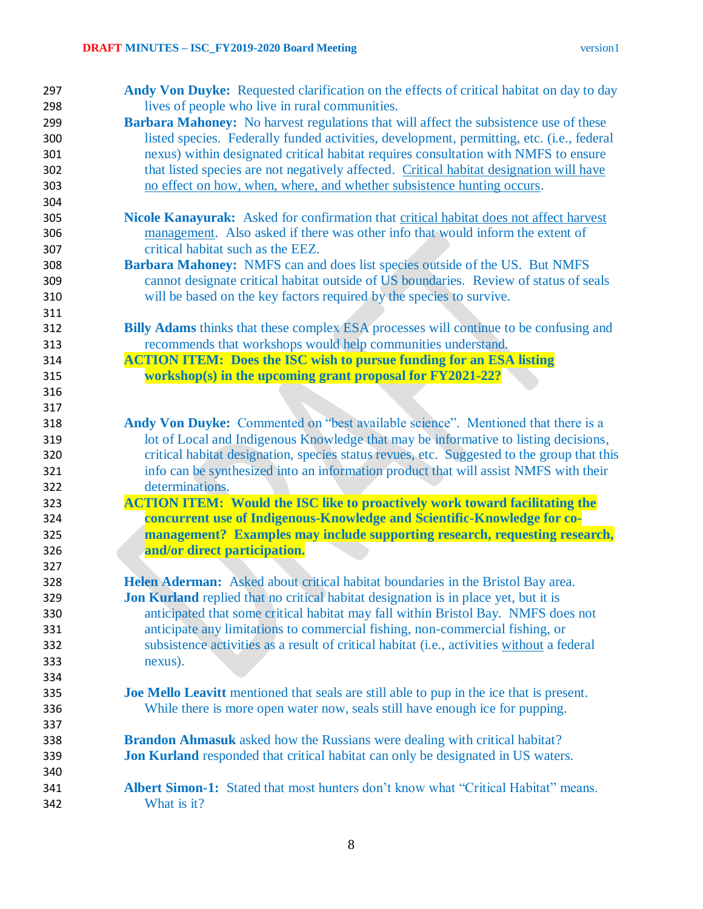| 297 | <b>Andy Von Duyke:</b> Requested clarification on the effects of critical habitat on day to day |
|-----|-------------------------------------------------------------------------------------------------|
| 298 | lives of people who live in rural communities.                                                  |
| 299 | <b>Barbara Mahoney:</b> No harvest regulations that will affect the subsistence use of these    |
| 300 | listed species. Federally funded activities, development, permitting, etc. (i.e., federal       |
| 301 | nexus) within designated critical habitat requires consultation with NMFS to ensure             |
| 302 | that listed species are not negatively affected. Critical habitat designation will have         |
| 303 | no effect on how, when, where, and whether subsistence hunting occurs.                          |
| 304 |                                                                                                 |
| 305 | <b>Nicole Kanayurak:</b> Asked for confirmation that critical habitat does not affect harvest   |
| 306 | management. Also asked if there was other info that would inform the extent of                  |
| 307 | critical habitat such as the EEZ.                                                               |
| 308 | Barbara Mahoney: NMFS can and does list species outside of the US. But NMFS                     |
| 309 | cannot designate critical habitat outside of US boundaries. Review of status of seals           |
| 310 | will be based on the key factors required by the species to survive.                            |
| 311 |                                                                                                 |
| 312 | <b>Billy Adams</b> thinks that these complex ESA processes will continue to be confusing and    |
| 313 | recommends that workshops would help communities understand.                                    |
| 314 | <b>ACTION ITEM:</b> Does the ISC wish to pursue funding for an ESA listing                      |
| 315 | workshop(s) in the upcoming grant proposal for FY2021-22?                                       |
| 316 |                                                                                                 |
| 317 |                                                                                                 |
| 318 | Andy Von Duyke: Commented on "best available science". Mentioned that there is a                |
| 319 | lot of Local and Indigenous Knowledge that may be informative to listing decisions,             |
| 320 | critical habitat designation, species status revues, etc. Suggested to the group that this      |
| 321 | info can be synthesized into an information product that will assist NMFS with their            |
| 322 | determinations.                                                                                 |
| 323 | <b>ACTION ITEM: Would the ISC like to proactively work toward facilitating the</b>              |
| 324 | concurrent use of Indigenous-Knowledge and Scientific-Knowledge for co-                         |
| 325 | management? Examples may include supporting research, requesting research,                      |
| 326 | and/or direct participation.                                                                    |
| 327 |                                                                                                 |
| 328 | Helen Aderman: Asked about critical habitat boundaries in the Bristol Bay area.                 |
| 329 | <b>Jon Kurland</b> replied that no critical habitat designation is in place yet, but it is      |
| 330 | anticipated that some critical habitat may fall within Bristol Bay. NMFS does not               |
| 331 | anticipate any limitations to commercial fishing, non-commercial fishing, or                    |
| 332 | subsistence activities as a result of critical habitat (i.e., activities without a federal      |
| 333 | nexus).                                                                                         |
|     |                                                                                                 |
| 334 |                                                                                                 |
| 335 | <b>Joe Mello Leavitt</b> mentioned that seals are still able to pup in the ice that is present. |
| 336 | While there is more open water now, seals still have enough ice for pupping.                    |
| 337 |                                                                                                 |
| 338 | <b>Brandon Ahmasuk</b> asked how the Russians were dealing with critical habitat?               |
| 339 | <b>Jon Kurland</b> responded that critical habitat can only be designated in US waters.         |
| 340 |                                                                                                 |
| 341 | <b>Albert Simon-1:</b> Stated that most hunters don't know what "Critical Habitat" means.       |
| 342 | What is it?                                                                                     |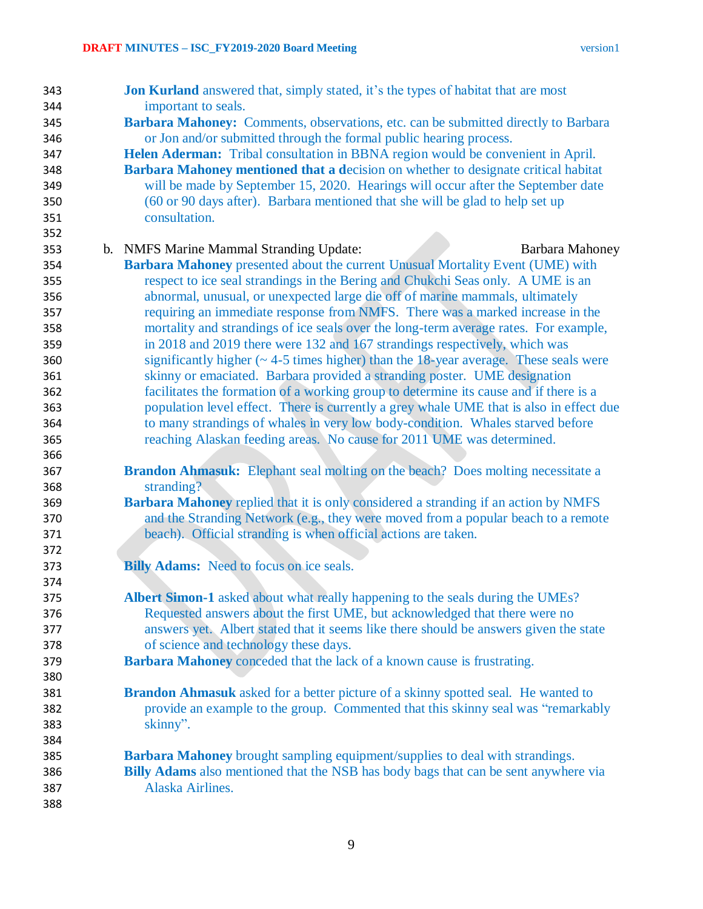| 343 | <b>Jon Kurland</b> answered that, simply stated, it's the types of habitat that are most   |
|-----|--------------------------------------------------------------------------------------------|
| 344 | important to seals.                                                                        |
| 345 | Barbara Mahoney: Comments, observations, etc. can be submitted directly to Barbara         |
| 346 | or Jon and/or submitted through the formal public hearing process.                         |
| 347 | Helen Aderman: Tribal consultation in BBNA region would be convenient in April.            |
| 348 | <b>Barbara Mahoney mentioned that a decision on whether to designate critical habitat</b>  |
| 349 | will be made by September 15, 2020. Hearings will occur after the September date           |
| 350 | (60 or 90 days after). Barbara mentioned that she will be glad to help set up              |
| 351 | consultation.                                                                              |
| 352 |                                                                                            |
| 353 | b. NMFS Marine Mammal Stranding Update:<br>Barbara Mahoney                                 |
| 354 | Barbara Mahoney presented about the current Unusual Mortality Event (UME) with             |
| 355 | respect to ice seal strandings in the Bering and Chukchi Seas only. A UME is an            |
| 356 | abnormal, unusual, or unexpected large die off of marine mammals, ultimately               |
| 357 | requiring an immediate response from NMFS. There was a marked increase in the              |
| 358 | mortality and strandings of ice seals over the long-term average rates. For example,       |
| 359 | in 2018 and 2019 there were 132 and 167 strandings respectively, which was                 |
| 360 | significantly higher $(\sim 4-5$ times higher) than the 18-year average. These seals were  |
| 361 | skinny or emaciated. Barbara provided a stranding poster. UME designation                  |
| 362 | facilitates the formation of a working group to determine its cause and if there is a      |
| 363 | population level effect. There is currently a grey whale UME that is also in effect due    |
| 364 | to many strandings of whales in very low body-condition. Whales starved before             |
| 365 | reaching Alaskan feeding areas. No cause for 2011 UME was determined.                      |
| 366 |                                                                                            |
| 367 | Brandon Ahmasuk: Elephant seal molting on the beach? Does molting necessitate a            |
| 368 | stranding?                                                                                 |
| 369 | <b>Barbara Mahoney replied that it is only considered a stranding if an action by NMFS</b> |
| 370 | and the Stranding Network (e.g., they were moved from a popular beach to a remote          |
| 371 | beach). Official stranding is when official actions are taken.                             |
| 372 |                                                                                            |
| 373 | <b>Billy Adams:</b> Need to focus on ice seals.                                            |
| 374 |                                                                                            |
| 375 | <b>Albert Simon-1</b> asked about what really happening to the seals during the UMEs?      |
| 376 | Requested answers about the first UME, but acknowledged that there were no                 |
| 377 | answers yet. Albert stated that it seems like there should be answers given the state      |
| 378 | of science and technology these days.                                                      |
| 379 | Barbara Mahoney conceded that the lack of a known cause is frustrating.                    |
| 380 |                                                                                            |
| 381 | <b>Brandon Ahmasuk</b> asked for a better picture of a skinny spotted seal. He wanted to   |
| 382 | provide an example to the group. Commented that this skinny seal was "remarkably           |
| 383 | skinny".                                                                                   |
| 384 |                                                                                            |
| 385 | <b>Barbara Mahoney</b> brought sampling equipment/supplies to deal with strandings.        |
| 386 | <b>Billy Adams</b> also mentioned that the NSB has body bags that can be sent anywhere via |
| 387 | Alaska Airlines.                                                                           |
| 388 |                                                                                            |
|     |                                                                                            |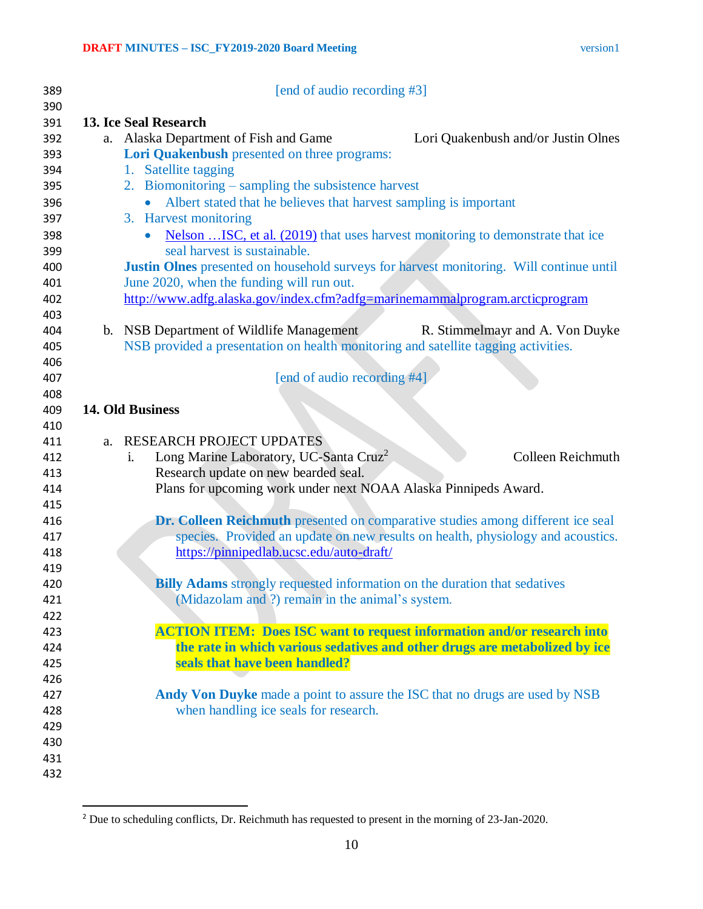| TSIOI |  |
|-------|--|
|       |  |

| 389        |    | [end of audio recording #3]                                                                           |
|------------|----|-------------------------------------------------------------------------------------------------------|
| 390        |    |                                                                                                       |
| 391<br>392 |    | 13. Ice Seal Research<br>a. Alaska Department of Fish and Game<br>Lori Quakenbush and/or Justin Olnes |
| 393        |    | Lori Quakenbush presented on three programs:                                                          |
| 394        |    | 1. Satellite tagging                                                                                  |
| 395        |    | 2. Biomonitoring – sampling the subsistence harvest                                                   |
| 396        |    | Albert stated that he believes that harvest sampling is important                                     |
| 397        |    | 3. Harvest monitoring                                                                                 |
| 398        |    | Nelson ISC, et al. (2019) that uses harvest monitoring to demonstrate that ice                        |
| 399        |    | seal harvest is sustainable.                                                                          |
| 400        |    | <b>Justin Olnes</b> presented on household surveys for harvest monitoring. Will continue until        |
| 401        |    | June 2020, when the funding will run out.                                                             |
| 402        |    | http://www.adfg.alaska.gov/index.cfm?adfg=marinemammalprogram.arcticprogram                           |
| 403        |    |                                                                                                       |
| 404        |    | b. NSB Department of Wildlife Management<br>R. Stimmelmayr and A. Von Duyke                           |
| 405        |    | NSB provided a presentation on health monitoring and satellite tagging activities.                    |
| 406        |    |                                                                                                       |
| 407        |    | [end of audio recording #4]                                                                           |
| 408        |    |                                                                                                       |
| 409        |    | 14. Old Business                                                                                      |
| 410        |    |                                                                                                       |
| 411        | a. | RESEARCH PROJECT UPDATES                                                                              |
| 412        |    | <b>Colleen Reichmuth</b><br>Long Marine Laboratory, UC-Santa Cruz <sup>2</sup><br>$\mathbf{i}$ .      |
| 413        |    | Research update on new bearded seal.                                                                  |
| 414        |    | Plans for upcoming work under next NOAA Alaska Pinnipeds Award.                                       |
| 415        |    |                                                                                                       |
| 416        |    | Dr. Colleen Reichmuth presented on comparative studies among different ice seal                       |
| 417        |    | species. Provided an update on new results on health, physiology and acoustics.                       |
| 418        |    | https://pinnipedlab.ucsc.edu/auto-draft/                                                              |
| 419        |    |                                                                                                       |
| 420        |    | <b>Billy Adams</b> strongly requested information on the duration that sedatives                      |
| 421        |    | (Midazolam and ?) remain in the animal's system.                                                      |
| 422        |    |                                                                                                       |
| 423        |    | <b>ACTION ITEM: Does ISC want to request information and/or research into</b>                         |
| 424        |    | the rate in which various sedatives and other drugs are metabolized by ice                            |
| 425        |    | seals that have been handled?                                                                         |
| 426        |    |                                                                                                       |
| 427        |    | Andy Von Duyke made a point to assure the ISC that no drugs are used by NSB                           |
| 428        |    | when handling ice seals for research.                                                                 |
| 429        |    |                                                                                                       |
| 430        |    |                                                                                                       |
| 431        |    |                                                                                                       |
| 432        |    |                                                                                                       |

 $\overline{\phantom{a}}$ <sup>2</sup> Due to scheduling conflicts, Dr. Reichmuth has requested to present in the morning of  $23$ -Jan-2020.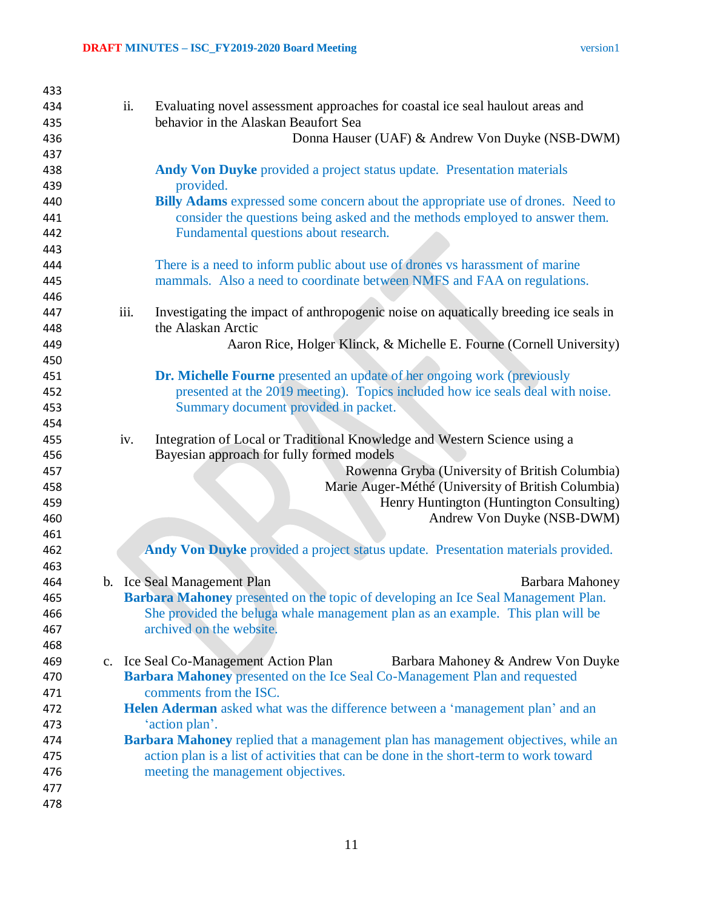| 433 |      |                                                                                       |
|-----|------|---------------------------------------------------------------------------------------|
| 434 | ii.  | Evaluating novel assessment approaches for coastal ice seal haulout areas and         |
| 435 |      | behavior in the Alaskan Beaufort Sea                                                  |
| 436 |      | Donna Hauser (UAF) & Andrew Von Duyke (NSB-DWM)                                       |
| 437 |      |                                                                                       |
| 438 |      | Andy Von Duyke provided a project status update. Presentation materials               |
| 439 |      | provided.                                                                             |
| 440 |      | Billy Adams expressed some concern about the appropriate use of drones. Need to       |
| 441 |      | consider the questions being asked and the methods employed to answer them.           |
| 442 |      | Fundamental questions about research.                                                 |
| 443 |      |                                                                                       |
| 444 |      | There is a need to inform public about use of drones vs harassment of marine          |
| 445 |      | mammals. Also a need to coordinate between NMFS and FAA on regulations.               |
| 446 |      |                                                                                       |
| 447 | iii. | Investigating the impact of anthropogenic noise on aquatically breeding ice seals in  |
| 448 |      | the Alaskan Arctic                                                                    |
| 449 |      | Aaron Rice, Holger Klinck, & Michelle E. Fourne (Cornell University)                  |
| 450 |      |                                                                                       |
| 451 |      | <b>Dr. Michelle Fourne</b> presented an update of her ongoing work (previously        |
| 452 |      | presented at the 2019 meeting). Topics included how ice seals deal with noise.        |
| 453 |      | Summary document provided in packet.                                                  |
| 454 |      |                                                                                       |
| 455 | iv.  | Integration of Local or Traditional Knowledge and Western Science using a             |
| 456 |      | Bayesian approach for fully formed models                                             |
| 457 |      | Rowenna Gryba (University of British Columbia)                                        |
| 458 |      | Marie Auger-Méthé (University of British Columbia)                                    |
| 459 |      | Henry Huntington (Huntington Consulting)                                              |
| 460 |      | Andrew Von Duyke (NSB-DWM)                                                            |
| 461 |      |                                                                                       |
| 462 |      | Andy Von Duyke provided a project status update. Presentation materials provided.     |
| 463 |      |                                                                                       |
| 464 |      | b. Ice Seal Management Plan<br><b>Barbara Mahoney</b>                                 |
| 465 |      | Barbara Mahoney presented on the topic of developing an Ice Seal Management Plan.     |
| 466 |      | She provided the beluga whale management plan as an example. This plan will be        |
| 467 |      | archived on the website.                                                              |
| 468 |      |                                                                                       |
| 469 |      | c. Ice Seal Co-Management Action Plan<br>Barbara Mahoney & Andrew Von Duyke           |
| 470 |      | Barbara Mahoney presented on the Ice Seal Co-Management Plan and requested            |
| 471 |      | comments from the ISC.                                                                |
| 472 |      | Helen Aderman asked what was the difference between a 'management plan' and an        |
| 473 |      | 'action plan'.                                                                        |
| 474 |      | Barbara Mahoney replied that a management plan has management objectives, while an    |
| 475 |      | action plan is a list of activities that can be done in the short-term to work toward |
| 476 |      | meeting the management objectives.                                                    |
| 477 |      |                                                                                       |
| 478 |      |                                                                                       |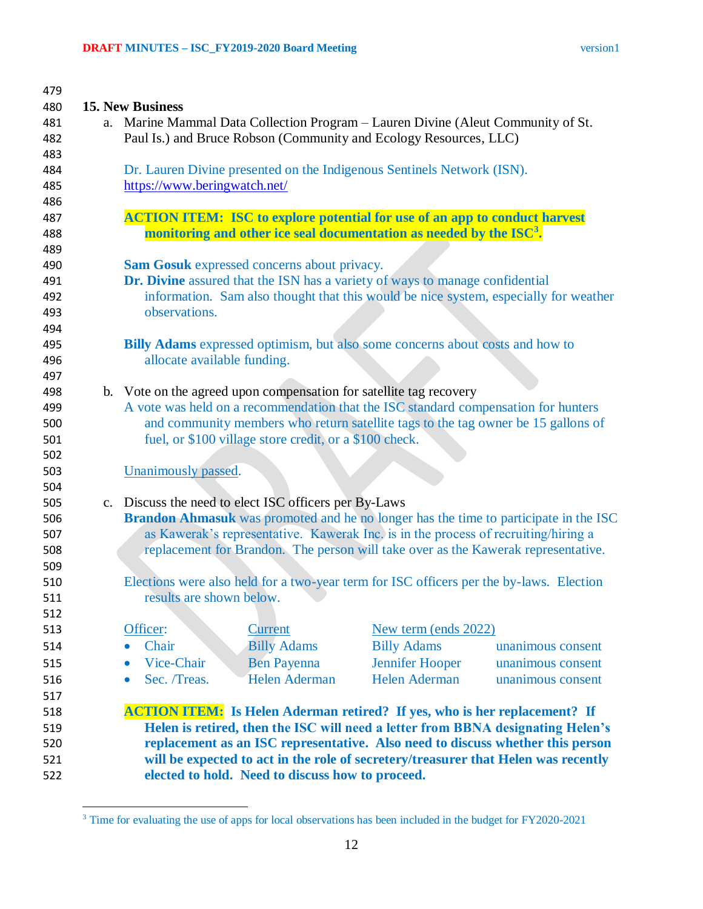| 479 |                                                                                                                                                                   |                                                        |                                                                                    |                                                                                    |  |  |  |
|-----|-------------------------------------------------------------------------------------------------------------------------------------------------------------------|--------------------------------------------------------|------------------------------------------------------------------------------------|------------------------------------------------------------------------------------|--|--|--|
| 480 | <b>15. New Business</b>                                                                                                                                           |                                                        |                                                                                    |                                                                                    |  |  |  |
| 481 | a. Marine Mammal Data Collection Program - Lauren Divine (Aleut Community of St.                                                                                  |                                                        |                                                                                    |                                                                                    |  |  |  |
| 482 | Paul Is.) and Bruce Robson (Community and Ecology Resources, LLC)                                                                                                 |                                                        |                                                                                    |                                                                                    |  |  |  |
| 483 |                                                                                                                                                                   |                                                        |                                                                                    |                                                                                    |  |  |  |
| 484 | Dr. Lauren Divine presented on the Indigenous Sentinels Network (ISN).                                                                                            |                                                        |                                                                                    |                                                                                    |  |  |  |
| 485 | https://www.beringwatch.net/                                                                                                                                      |                                                        |                                                                                    |                                                                                    |  |  |  |
| 486 |                                                                                                                                                                   |                                                        |                                                                                    |                                                                                    |  |  |  |
| 487 |                                                                                                                                                                   |                                                        | <b>ACTION ITEM:</b> ISC to explore potential for use of an app to conduct harvest  |                                                                                    |  |  |  |
| 488 |                                                                                                                                                                   |                                                        | monitoring and other ice seal documentation as needed by the $\mathrm{ISC}^3$ .    |                                                                                    |  |  |  |
| 489 |                                                                                                                                                                   |                                                        |                                                                                    |                                                                                    |  |  |  |
| 490 |                                                                                                                                                                   | <b>Sam Gosuk</b> expressed concerns about privacy.     |                                                                                    |                                                                                    |  |  |  |
| 491 | Dr. Divine assured that the ISN has a variety of ways to manage confidential                                                                                      |                                                        |                                                                                    |                                                                                    |  |  |  |
| 492 | information. Sam also thought that this would be nice system, especially for weather                                                                              |                                                        |                                                                                    |                                                                                    |  |  |  |
| 493 | observations.                                                                                                                                                     |                                                        |                                                                                    |                                                                                    |  |  |  |
| 494 |                                                                                                                                                                   |                                                        |                                                                                    |                                                                                    |  |  |  |
| 495 |                                                                                                                                                                   |                                                        | Billy Adams expressed optimism, but also some concerns about costs and how to      |                                                                                    |  |  |  |
| 496 | allocate available funding.                                                                                                                                       |                                                        |                                                                                    |                                                                                    |  |  |  |
| 497 |                                                                                                                                                                   |                                                        |                                                                                    |                                                                                    |  |  |  |
| 498 |                                                                                                                                                                   |                                                        | b. Vote on the agreed upon compensation for satellite tag recovery                 |                                                                                    |  |  |  |
| 499 |                                                                                                                                                                   |                                                        | A vote was held on a recommendation that the ISC standard compensation for hunters |                                                                                    |  |  |  |
| 500 |                                                                                                                                                                   |                                                        |                                                                                    | and community members who return satellite tags to the tag owner be 15 gallons of  |  |  |  |
| 501 |                                                                                                                                                                   | fuel, or \$100 village store credit, or a \$100 check. |                                                                                    |                                                                                    |  |  |  |
| 502 |                                                                                                                                                                   |                                                        |                                                                                    |                                                                                    |  |  |  |
| 503 | Unanimously passed.                                                                                                                                               |                                                        |                                                                                    |                                                                                    |  |  |  |
| 504 |                                                                                                                                                                   |                                                        |                                                                                    |                                                                                    |  |  |  |
| 505 | c. Discuss the need to elect ISC officers per By-Laws                                                                                                             |                                                        |                                                                                    |                                                                                    |  |  |  |
| 506 | Brandon Ahmasuk was promoted and he no longer has the time to participate in the ISC                                                                              |                                                        |                                                                                    |                                                                                    |  |  |  |
| 507 | as Kawerak's representative. Kawerak Inc. is in the process of recruiting/hiring a                                                                                |                                                        |                                                                                    |                                                                                    |  |  |  |
| 508 | replacement for Brandon. The person will take over as the Kawerak representative.                                                                                 |                                                        |                                                                                    |                                                                                    |  |  |  |
| 509 |                                                                                                                                                                   |                                                        |                                                                                    |                                                                                    |  |  |  |
| 510 | Elections were also held for a two-year term for ISC officers per the by-laws. Election                                                                           |                                                        |                                                                                    |                                                                                    |  |  |  |
| 511 | results are shown below.                                                                                                                                          |                                                        |                                                                                    |                                                                                    |  |  |  |
| 512 |                                                                                                                                                                   |                                                        |                                                                                    |                                                                                    |  |  |  |
| 513 | Officer:                                                                                                                                                          | <b>Current</b>                                         | New term (ends 2022)                                                               |                                                                                    |  |  |  |
| 514 | Chair                                                                                                                                                             | <b>Billy Adams</b>                                     | <b>Billy Adams</b>                                                                 | unanimous consent                                                                  |  |  |  |
| 515 | Vice-Chair                                                                                                                                                        | <b>Ben Payenna</b>                                     | Jennifer Hooper                                                                    | unanimous consent                                                                  |  |  |  |
| 516 | Sec. /Treas.<br>$\bullet$                                                                                                                                         | <b>Helen Aderman</b>                                   | Helen Aderman                                                                      | unanimous consent                                                                  |  |  |  |
| 517 |                                                                                                                                                                   |                                                        |                                                                                    |                                                                                    |  |  |  |
| 518 |                                                                                                                                                                   |                                                        | <b>ACTION ITEM:</b> Is Helen Aderman retired? If yes, who is her replacement? If   |                                                                                    |  |  |  |
| 519 |                                                                                                                                                                   |                                                        |                                                                                    |                                                                                    |  |  |  |
| 520 | Helen is retired, then the ISC will need a letter from BBNA designating Helen's<br>replacement as an ISC representative. Also need to discuss whether this person |                                                        |                                                                                    |                                                                                    |  |  |  |
| 521 |                                                                                                                                                                   |                                                        |                                                                                    | will be expected to act in the role of secretery/treasurer that Helen was recently |  |  |  |
| 522 |                                                                                                                                                                   | elected to hold. Need to discuss how to proceed.       |                                                                                    |                                                                                    |  |  |  |

 $\overline{\phantom{a}}$ 

<sup>&</sup>lt;sup>3</sup> Time for evaluating the use of apps for local observations has been included in the budget for FY2020-2021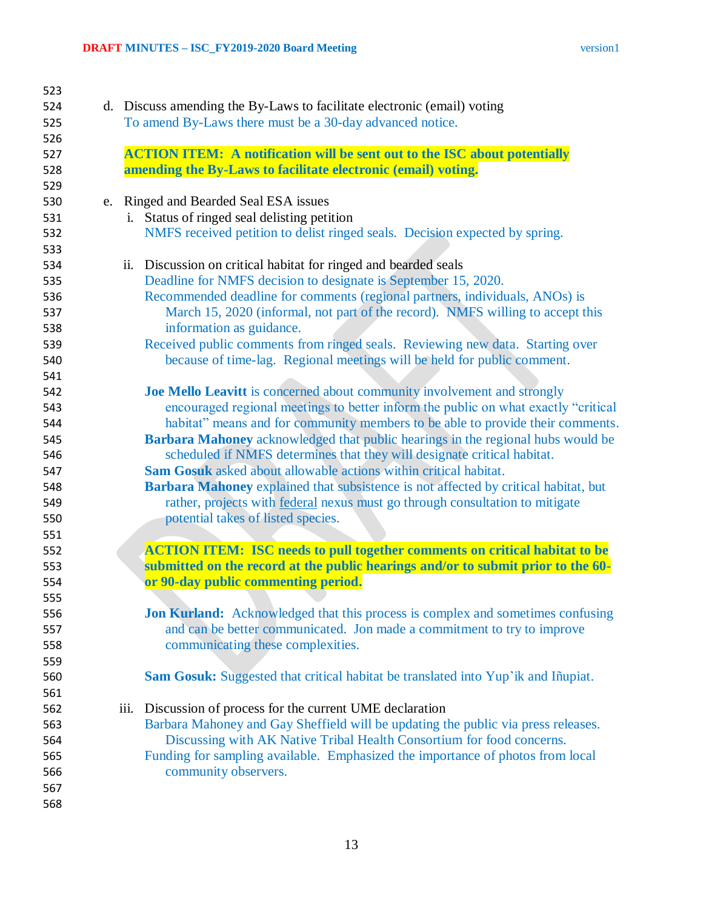| 523 |                                                                                          |
|-----|------------------------------------------------------------------------------------------|
| 524 | d. Discuss amending the By-Laws to facilitate electronic (email) voting                  |
| 525 | To amend By-Laws there must be a 30-day advanced notice.                                 |
| 526 |                                                                                          |
| 527 | <b>ACTION ITEM:</b> A notification will be sent out to the ISC about potentially         |
| 528 | amending the By-Laws to facilitate electronic (email) voting.                            |
| 529 |                                                                                          |
| 530 | e. Ringed and Bearded Seal ESA issues                                                    |
| 531 | i. Status of ringed seal delisting petition                                              |
| 532 | NMFS received petition to delist ringed seals. Decision expected by spring.              |
| 533 |                                                                                          |
| 534 | ii. Discussion on critical habitat for ringed and bearded seals                          |
| 535 | Deadline for NMFS decision to designate is September 15, 2020.                           |
| 536 | Recommended deadline for comments (regional partners, individuals, ANOs) is              |
| 537 | March 15, 2020 (informal, not part of the record). NMFS willing to accept this           |
| 538 | information as guidance.                                                                 |
| 539 | Received public comments from ringed seals. Reviewing new data. Starting over            |
| 540 | because of time-lag. Regional meetings will be held for public comment.                  |
| 541 |                                                                                          |
| 542 | Joe Mello Leavitt is concerned about community involvement and strongly                  |
| 543 | encouraged regional meetings to better inform the public on what exactly "critical       |
| 544 | habitat" means and for community members to be able to provide their comments.           |
| 545 | Barbara Mahoney acknowledged that public hearings in the regional hubs would be          |
| 546 | scheduled if NMFS determines that they will designate critical habitat.                  |
| 547 | Sam Gosuk asked about allowable actions within critical habitat.                         |
| 548 | Barbara Mahoney explained that subsistence is not affected by critical habitat, but      |
| 549 | rather, projects with federal nexus must go through consultation to mitigate             |
| 550 | potential takes of listed species.                                                       |
| 551 |                                                                                          |
| 552 | <b>ACTION ITEM: ISC needs to pull together comments on critical habitat to be</b>        |
| 553 | submitted on the record at the public hearings and/or to submit prior to the 60-         |
| 554 | or 90-day public commenting period.                                                      |
| 555 |                                                                                          |
| 556 | <b>Jon Kurland:</b> Acknowledged that this process is complex and sometimes confusing    |
| 557 | and can be better communicated. Jon made a commitment to try to improve                  |
| 558 | communicating these complexities.                                                        |
| 559 |                                                                                          |
| 560 | <b>Sam Gosuk:</b> Suggested that critical habitat be translated into Yup'ik and Iñupiat. |
| 561 |                                                                                          |
| 562 | iii. Discussion of process for the current UME declaration                               |
| 563 | Barbara Mahoney and Gay Sheffield will be updating the public via press releases.        |
| 564 | Discussing with AK Native Tribal Health Consortium for food concerns.                    |
| 565 | Funding for sampling available. Emphasized the importance of photos from local           |
| 566 | community observers.                                                                     |
| 567 |                                                                                          |
| 568 |                                                                                          |
|     |                                                                                          |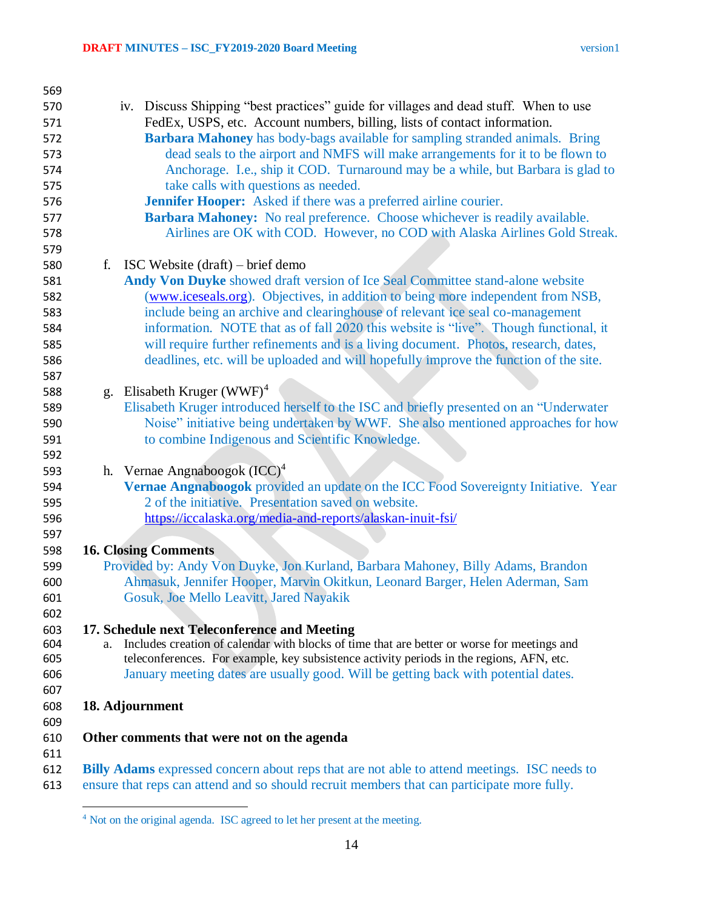| 569 |                                                                                                    |
|-----|----------------------------------------------------------------------------------------------------|
| 570 | iv. Discuss Shipping "best practices" guide for villages and dead stuff. When to use               |
| 571 | FedEx, USPS, etc. Account numbers, billing, lists of contact information.                          |
| 572 | Barbara Mahoney has body-bags available for sampling stranded animals. Bring                       |
| 573 | dead seals to the airport and NMFS will make arrangements for it to be flown to                    |
| 574 | Anchorage. I.e., ship it COD. Turnaround may be a while, but Barbara is glad to                    |
| 575 | take calls with questions as needed.                                                               |
| 576 | <b>Jennifer Hooper:</b> Asked if there was a preferred airline courier.                            |
| 577 | Barbara Mahoney: No real preference. Choose whichever is readily available.                        |
| 578 | Airlines are OK with COD. However, no COD with Alaska Airlines Gold Streak.                        |
| 579 |                                                                                                    |
| 580 | ISC Website $(draff)$ – brief demo<br>f.                                                           |
| 581 | Andy Von Duyke showed draft version of Ice Seal Committee stand-alone website                      |
| 582 | (www.iceseals.org). Objectives, in addition to being more independent from NSB,                    |
| 583 | include being an archive and clearinghouse of relevant ice seal co-management                      |
| 584 | information. NOTE that as of fall 2020 this website is "live". Though functional, it               |
| 585 | will require further refinements and is a living document. Photos, research, dates,                |
| 586 | deadlines, etc. will be uploaded and will hopefully improve the function of the site.              |
| 587 |                                                                                                    |
| 588 | g. Elisabeth Kruger $(WWF)^4$                                                                      |
| 589 | Elisabeth Kruger introduced herself to the ISC and briefly presented on an "Underwater             |
| 590 | Noise" initiative being undertaken by WWF. She also mentioned approaches for how                   |
| 591 | to combine Indigenous and Scientific Knowledge.                                                    |
| 592 |                                                                                                    |
| 593 | h. Vernae Angnaboogok $(ICC)^4$                                                                    |
| 594 | Vernae Angnaboogok provided an update on the ICC Food Sovereignty Initiative. Year                 |
| 595 | 2 of the initiative. Presentation saved on website.                                                |
| 596 | https://iccalaska.org/media-and-reports/alaskan-inuit-fsi/                                         |
| 597 |                                                                                                    |
| 598 | <b>16. Closing Comments</b>                                                                        |
| 599 | Provided by: Andy Von Duyke, Jon Kurland, Barbara Mahoney, Billy Adams, Brandon                    |
| 600 | Ahmasuk, Jennifer Hooper, Marvin Okitkun, Leonard Barger, Helen Aderman, Sam                       |
| 601 | Gosuk, Joe Mello Leavitt, Jared Nayakik                                                            |
| 602 |                                                                                                    |
| 603 | 17. Schedule next Teleconference and Meeting                                                       |
| 604 | Includes creation of calendar with blocks of time that are better or worse for meetings and<br>a.  |
| 605 | teleconferences. For example, key subsistence activity periods in the regions, AFN, etc.           |
| 606 | January meeting dates are usually good. Will be getting back with potential dates.                 |
| 607 |                                                                                                    |
| 608 | 18. Adjournment                                                                                    |
| 609 |                                                                                                    |
| 610 | Other comments that were not on the agenda                                                         |
| 611 |                                                                                                    |
| 612 | <b>Billy Adams</b> expressed concern about reps that are not able to attend meetings. ISC needs to |
| 613 | ensure that reps can attend and so should recruit members that can participate more fully.         |
|     |                                                                                                    |

Not on the original agenda. ISC agreed to let her present at the meeting.